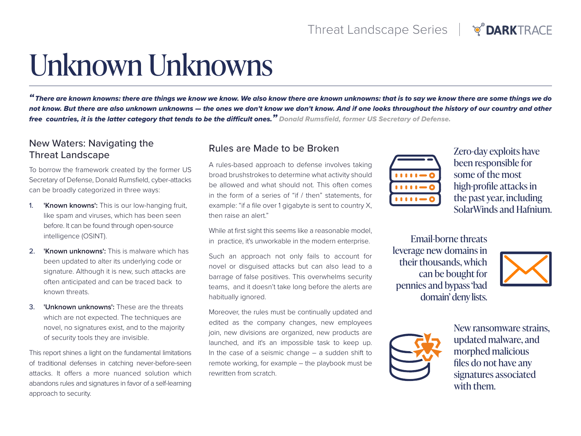## **TOARKTRACE**

# Unknown Unknowns

*"There are known knowns: there are things we know we know. We also know there are known unknowns: that is to say we know there are some things we do not know. But there are also unknown unknowns — the ones we don't know we don't know. And if one looks throughout the history of our country and other free countries, it is the latter category that tends to be the difficult ones." Donald Rumsfield, former US Secretary of Defense.*

## New Waters: Navigating the Threat Landscape

To borrow the framework created by the former US Secretary of Defense, Donald Rumsfield, cyber-attacks can be broadly categorized in three ways:

- 1. **'Known knowns':** This is our low-hanging fruit, like spam and viruses, which has been seen before. It can be found through open-source intelligence (OSINT).
- 2. **'Known unknowns':** This is malware which has been updated to alter its underlying code or signature. Although it is new, such attacks are often anticipated and can be traced back to known threats.
- 3. **'Unknown unknowns':** These are the threats which are not expected. The techniques are novel, no signatures exist, and to the majority of security tools they are invisible.

This report shines a light on the fundamental limitations of traditional defenses in catching never-before-seen attacks. It offers a more nuanced solution which abandons rules and signatures in favor of a self-learning approach to security.

## Rules are Made to be Broken

A rules-based approach to defense involves taking broad brushstrokes to determine what activity should be allowed and what should not. This often comes in the form of a series of "if / then" statements, for example: "if a file over 1 gigabyte is sent to country X, then raise an alert."

While at first sight this seems like a reasonable model, in practice, it's unworkable in the modern enterprise.

Such an approach not only fails to account for novel or disguised attacks but can also lead to a barrage of false positives. This overwhelms security teams, and it doesn't take long before the alerts are habitually ignored.

Moreover, the rules must be continually updated and edited as the company changes, new employees join, new divisions are organized, new products are launched, and it's an impossible task to keep up. In the case of a seismic change  $-$  a sudden shift to remote working, for example – the playbook must be rewritten from scratch.



Zero-day exploits have been responsible for some of the most high-profile attacks in the past year, including SolarWinds and Hafnium.

Email-borne threats leverage new domains in their thousands, which can be bought for pennies and bypass 'bad domain' deny lists.





New ransomware strains, updated malware, and morphed malicious files do not have any signatures associated with them.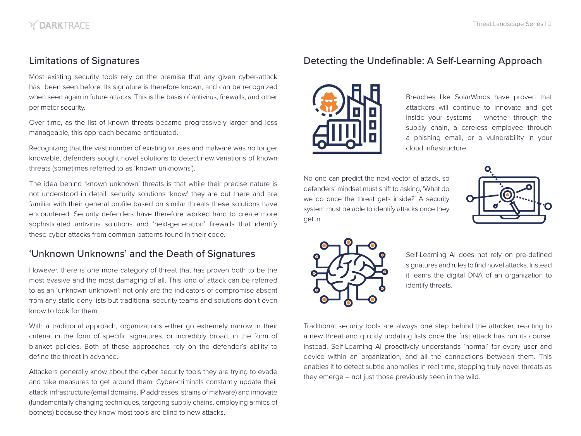## Limitations of Signatures

Most existing security tools rely on the premise that any given cyber-attack has been seen before. Its signature is therefore known, and can be recognized when seen again in future attacks. This is the basis of antivirus, firewalls, and other perimeter security.

Over time, as the list of known threats became progressively larger and less manageable, this approach became antiquated.

Recognizing that the vast number of existing viruses and malware was no longer knowable, defenders sought novel solutions to detect new variations of known threats (sometimes referred to as 'known unknowns').

The idea behind 'known unknown' threats is that while their precise nature is not understood in detail, security solutions 'know' they are out there and are familiar with their general profile based on similar threats these solutions have encountered. Security defenders have therefore worked hard to create more sophisticated antivirus solutions and 'next-generation' firewalls that identify these cyber-attacks from common patterns found in their code.

## 'Unknown Unknowns' and the Death of Signatures

However, there is one more category of threat that has proven both to be the most evasive and the most damaging of all. This kind of attack can be referred to as an 'unknown unknown': not only are the indicators of compromise absent from any static deny lists but traditional security teams and solutions don't even know to look for them.

With a traditional approach, organizations either go extremely narrow in their criteria, in the form of specific signatures, or incredibly broad, in the form of blanket policies. Both of these approaches rely on the defender's ability to define the threat in advance.

Attackers generally know about the cyber security tools they are trying to evade and take measures to get around them. Cyber-criminals constantly update their attack infrastructure (email domains, IP addresses, strains of malware) and innovate (fundamentally changing techniques, targeting supply chains, employing armies of botnets) because they know most tools are blind to new attacks.

## Detecting the Undefinable: A Self-Learning Approach



Breaches like SolarWinds have proven that attackers will continue to innovate and get inside your systems – whether through the supply chain, a careless employee through a phishing email, or a vulnerability in your cloud infrastructure.

No one can predict the next vector of attack, so defenders' mindset must shift to asking, 'What do we do once the threat gets inside?' A security system must be able to identify attacks once they get in.





Self-Learning AI does not rely on pre-defined signatures and rules to find novel attacks. Instead it learns the digital DNA of an organization to identify threats.

Traditional security tools are always one step behind the attacker, reacting to a new threat and quickly updating lists once the first attack has run its course. Instead, Self-Learning AI proactively understands 'normal' for every user and device within an organization, and all the connections between them. This enables it to detect subtle anomalies in real time, stopping truly novel threats as they emerge – not just those previously seen in the wild.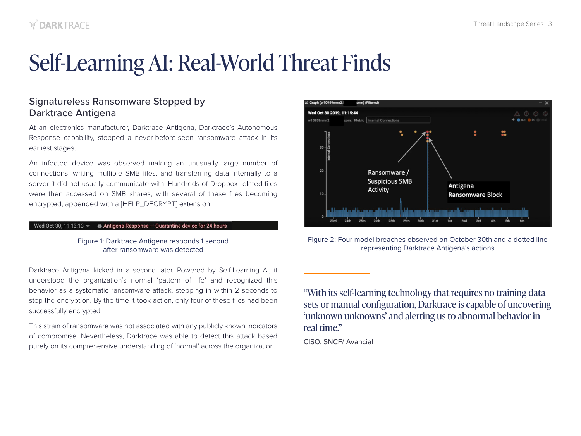## Self-Learning AI: Real-World Threat Finds

## Signatureless Ransomware Stopped by Darktrace Antigena

At an electronics manufacturer, Darktrace Antigena, Darktrace's Autonomous Response capability, stopped a never-before-seen ransomware attack in its earliest stages.

An infected device was observed making an unusually large number of connections, writing multiple SMB files, and transferring data internally to a server it did not usually communicate with. Hundreds of Dropbox-related files were then accessed on SMB shares, with several of these files becoming encrypted, appended with a [HELP\_DECRYPT] extension.

#### Wed Oct 30, 11:13:13  $\blacktriangleright$   $\blacktriangleright$  Antigena Response - Quarantine device for 24 hours

#### Figure 1: Darktrace Antigena responds 1 second after ransomware was detected

Darktrace Antigena kicked in a second later. Powered by Self-Learning AI, it understood the organization's normal 'pattern of life' and recognized this behavior as a systematic ransomware attack, stepping in within 2 seconds to stop the encryption. By the time it took action, only four of these files had been successfully encrypted.

This strain of ransomware was not associated with any publicly known indicators of compromise. Nevertheless, Darktrace was able to detect this attack based purely on its comprehensive understanding of 'normal' across the organization.



Figure 2: Four model breaches observed on October 30th and a dotted line representing Darktrace Antigena's actions

"With its self-learning technology that requires no training data sets or manual configuration, Darktrace is capable of uncovering 'unknown unknowns' and alerting us to abnormal behavior in real time."

CISO, SNCF/ Avancial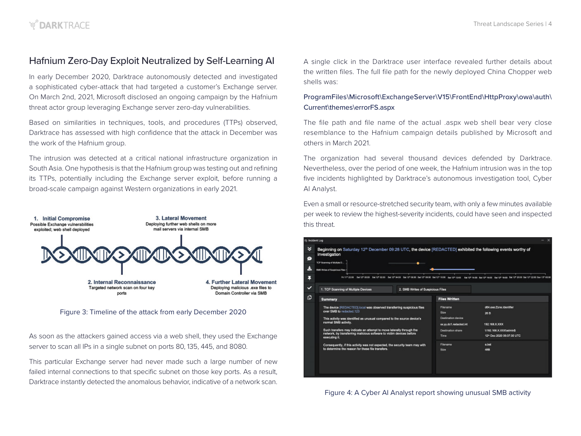## Hafnium Zero-Day Exploit Neutralized by Self-Learning AI

In early December 2020, Darktrace autonomously detected and investigated a sophisticated cyber-attack that had targeted a customer's Exchange server. On March 2nd, 2021, Microsoft disclosed an ongoing campaign by the Hafnium threat actor group leveraging Exchange server zero-day vulnerabilities.

Based on similarities in techniques, tools, and procedures (TTPs) observed, Darktrace has assessed with high confidence that the attack in December was the work of the Hafnium group.

The intrusion was detected at a critical national infrastructure organization in South Asia. One hypothesis is that the Hafnium group was testing out and refining its TTPs, potentially including the Exchange server exploit, before running a broad-scale campaign against Western organizations in early 2021.



Figure 3: Timeline of the attack from early December 2020

As soon as the attackers gained access via a web shell, they used the Exchange server to scan all IPs in a single subnet on ports 80, 135, 445, and 8080.

This particular Exchange server had never made such a large number of new failed internal connections to that specific subnet on those key ports. As a result, Darktrace instantly detected the anomalous behavior, indicative of a network scan.

A single click in the Darktrace user interface revealed further details about the written files. The full file path for the newly deployed China Chopper web shells was:

#### ProgramFiles\Microsoft\ExchangeServer\V15\FrontEnd\HttpProxy\owa\auth\ Current\themes\errorFS.aspx

The file path and file name of the actual .aspx web shell bear very close resemblance to the Hafnium campaign details published by Microsoft and others in March 2021.

The organization had several thousand devices defended by Darktrace. Nevertheless, over the period of one week, the Hafnium intrusion was in the top five incidents highlighted by Darktrace's autonomous investigation tool, Cyber AI Analyst.

Even a small or resource-stretched security team, with only a few minutes available per week to review the highest-severity incidents, could have seen and inspected this threat.



Figure 4: A Cyber AI Analyst report showing unusual SMB activity